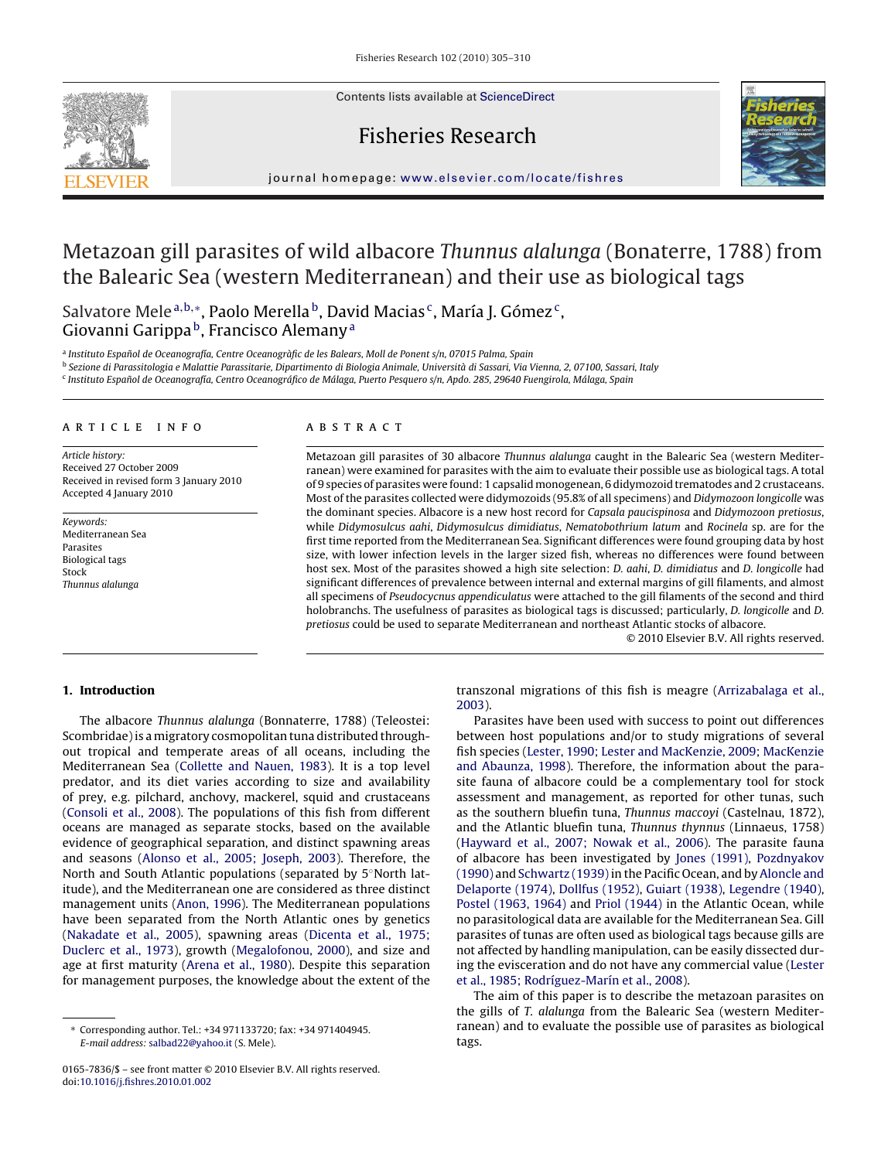Contents lists available at [ScienceDirect](http://www.sciencedirect.com/science/journal/01657836)

Fisheries Research



journal homepage: [www.elsevier.com/locate/fishres](http://www.elsevier.com/locate/fishres)

# Metazoan gill parasites of wild albacore Thunnus alalunga (Bonaterre, 1788) from the Balearic Sea (western Mediterranean) and their use as biological tags

Salvatore Mele<sup>a,b,\*</sup>, Paolo Merella<sup>b</sup>, David Macias<sup>c</sup>, María J. Gómez<sup>c</sup>, Giovanni Garippa<sup>b</sup>, Francisco Alemany<sup>a</sup>

a Instituto Español de Oceanografía, Centre Oceanogràfic de les Balears, Moll de Ponent s/n, 07015 Palma, Spain

<sup>b</sup> Sezione di Parassitologia e Malattie Parassitarie, Dipartimento di Biologia Animale, Università di Sassari, Via Vienna, 2, 07100, Sassari, Italy

<sup>c</sup> Instituto Español de Oceanografía, Centro Oceanográfico de Málaga, Puerto Pesquero s/n, Apdo. 285, 29640 Fuengirola, Málaga, Spain

# ARTICLE INFO

Article history: Received 27 October 2009 Received in revised form 3 January 2010 Accepted 4 January 2010

Keywords: Mediterranean Sea Parasites Biological tags Stock Thunnus alalunga

# **ABSTRACT**

Metazoan gill parasites of 30 albacore Thunnus alalunga caught in the Balearic Sea (western Mediterranean) were examined for parasites with the aim to evaluate their possible use as biological tags. A total of 9 species of parasites were found: 1 capsalid monogenean, 6 didymozoid trematodes and 2 crustaceans. Most of the parasites collected were didymozoids (95.8% of all specimens) and Didymozoon longicolle was the dominant species. Albacore is a new host record for Capsala paucispinosa and Didymozoon pretiosus, while Didymosulcus aahi, Didymosulcus dimidiatus, Nematobothrium latum and Rocinela sp. are for the first time reported from the Mediterranean Sea. Significant differences were found grouping data by host size, with lower infection levels in the larger sized fish, whereas no differences were found between host sex. Most of the parasites showed a high site selection: D. aahi, D. dimidiatus and D. longicolle had significant differences of prevalence between internal and external margins of gill filaments, and almost all specimens of Pseudocycnus appendiculatus were attached to the gill filaments of the second and third holobranchs. The usefulness of parasites as biological tags is discussed; particularly, D. longicolle and D. pretiosus could be used to separate Mediterranean and northeast Atlantic stocks of albacore.

© 2010 Elsevier B.V. All rights reserved.

# **1. Introduction**

The albacore Thunnus alalunga (Bonnaterre, 1788) (Teleostei: Scombridae) is a migratory cosmopolitan tuna distributed throughout tropical and temperate areas of all oceans, including the Mediterranean Sea ([Collette and Nauen, 1983\).](#page-5-0) It is a top level predator, and its diet varies according to size and availability of prey, e.g. pilchard, anchovy, mackerel, squid and crustaceans ([Consoli et al., 2008\).](#page-5-0) The populations of this fish from different oceans are managed as separate stocks, based on the available evidence of geographical separation, and distinct spawning areas and seasons [\(Alonso et al., 2005; Joseph, 2003\).](#page-4-0) Therefore, the North and South Atlantic populations (separated by 5◦North latitude), and the Mediterranean one are considered as three distinct management units ([Anon, 1996\).](#page-4-0) The Mediterranean populations have been separated from the North Atlantic ones by genetics ([Nakadate et al., 2005\),](#page-5-0) spawning areas [\(Dicenta et al., 1975;](#page-5-0) [Duclerc et al., 1973\),](#page-5-0) growth ([Megalofonou, 2000\),](#page-5-0) and size and age at first maturity ([Arena et al., 1980\).](#page-4-0) Despite this separation for management purposes, the knowledge about the extent of the

transzonal migrations of this fish is meagre [\(Arrizabalaga et al.,](#page-4-0) [2003\).](#page-4-0)

Parasites have been used with success to point out differences between host populations and/or to study migrations of several fish species ([Lester, 1990; Lester and MacKenzie, 2009; MacKenzie](#page-5-0) [and Abaunza, 1998\).](#page-5-0) Therefore, the information about the parasite fauna of albacore could be a complementary tool for stock assessment and management, as reported for other tunas, such as the southern bluefin tuna, Thunnus maccoyi (Castelnau, 1872), and the Atlantic bluefin tuna, Thunnus thynnus (Linnaeus, 1758) [\(Hayward et al., 2007; Nowak et al., 2006\).](#page-5-0) The parasite fauna of albacore has been investigated by [Jones \(1991\),](#page-5-0) [Pozdnyakov](#page-5-0) [\(1990\)](#page-5-0) and Schwartz (1939) in the Pacific Ocean, and by [Aloncle and](#page-4-0) [Delaporte \(1974\),](#page-4-0) [Dollfus \(1952\),](#page-5-0) [Guiart \(1938\),](#page-5-0) [Legendre \(1940\),](#page-5-0) [Postel \(1963, 1964\)](#page-5-0) and [Priol \(1944\)](#page-5-0) in the Atlantic Ocean, while no parasitological data are available for the Mediterranean Sea. Gill parasites of tunas are often used as biological tags because gills are not affected by handling manipulation, can be easily dissected during the evisceration and do not have any commercial value ([Lester](#page-5-0) [et al., 1985; Rodríguez-Marín et al., 2008\).](#page-5-0)

The aim of this paper is to describe the metazoan parasites on the gills of T. alalunga from the Balearic Sea (western Mediterranean) and to evaluate the possible use of parasites as biological tags.

<sup>∗</sup> Corresponding author. Tel.: +34 971133720; fax: +34 971404945. E-mail address: [salbad22@yahoo.it](mailto:salbad22@yahoo.it) (S. Mele).

<sup>0165-7836/\$ –</sup> see front matter © 2010 Elsevier B.V. All rights reserved. doi:[10.1016/j.fishres.2010.01.002](dx.doi.org/10.1016/j.fishres.2010.01.002)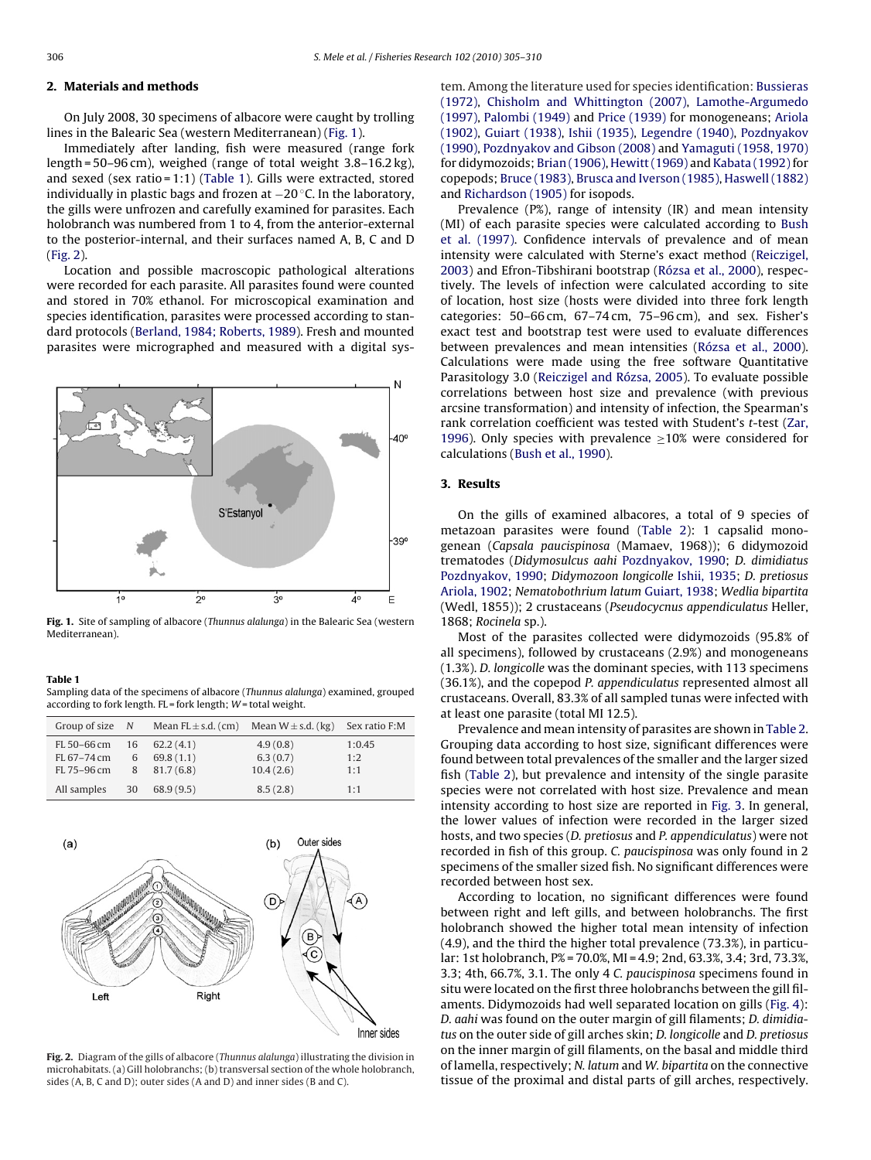# **2. Materials and methods**

On July 2008, 30 specimens of albacore were caught by trolling lines in the Balearic Sea (western Mediterranean) (Fig. 1).

Immediately after landing, fish were measured (range fork length = 50–96 cm), weighed (range of total weight 3.8–16.2 kg), and sexed (sex ratio = 1:1) (Table 1). Gills were extracted, stored individually in plastic bags and frozen at −20 ◦C. In the laboratory, the gills were unfrozen and carefully examined for parasites. Each holobranch was numbered from 1 to 4, from the anterior-external to the posterior-internal, and their surfaces named A, B, C and D (Fig. 2).

Location and possible macroscopic pathological alterations were recorded for each parasite. All parasites found were counted and stored in 70% ethanol. For microscopical examination and species identification, parasites were processed according to standard protocols [\(Berland, 1984; Roberts, 1989\).](#page-4-0) Fresh and mounted parasites were micrographed and measured with a digital sys-



**Fig. 1.** Site of sampling of albacore (Thunnus alalunga) in the Balearic Sea (western Mediterranean).

### **Table 1**

Sampling data of the specimens of albacore (Thunnus alalunga) examined, grouped according to fork length.  $FL =$  fork length;  $W =$  total weight.

| Group of size $N$ |    | Mean $FL \pm s.d.$ (cm) | Mean $W \pm s.d.$ (kg) | Sex ratio F:M |
|-------------------|----|-------------------------|------------------------|---------------|
| FL 50-66 cm       | 16 | 62.2(4.1)               | 4.9(0.8)               | 1:0.45        |
| FL 67-74 cm       | 6  | 69.8(1.1)               | 6.3(0.7)               | 1:2           |
| FL 75-96 cm       | 8  | 81.7(6.8)               | 10.4(2.6)              | 1:1           |
| All samples       | 30 | 68.9(9.5)               | 8.5(2.8)               | 1:1           |



**Fig. 2.** Diagram of the gills of albacore (Thunnus alalunga) illustrating the division in microhabitats. (a) Gill holobranchs; (b) transversal section of the whole holobranch, sides (A, B, C and D); outer sides (A and D) and inner sides (B and C).

tem. Among the literature used for species identification: [Bussieras](#page-5-0) [\(1972\),](#page-5-0) [Chisholm and Whittington \(2007\),](#page-5-0) [Lamothe-Argumedo](#page-5-0) [\(1997\),](#page-5-0) [Palombi \(1949\)](#page-5-0) and [Price \(1939\)](#page-5-0) for monogeneans; [Ariola](#page-4-0) [\(1902\),](#page-4-0) [Guiart \(1938\),](#page-5-0) [Ishii \(1935\),](#page-5-0) [Legendre \(1940\),](#page-5-0) [Pozdnyakov](#page-5-0) [\(1990\),](#page-5-0) [Pozdnyakov and Gibson \(2008\)](#page-5-0) and [Yamaguti \(1958, 1970\)](#page-5-0) for didymozoids; [Brian \(1906\),](#page-4-0) [Hewitt \(1969\)](#page-5-0) and Kabata (1992) for copepods; [Bruce \(1983\),](#page-4-0) [Brusca and Iverson \(1985\),](#page-4-0) [Haswell \(1882\)](#page-5-0) and [Richardson \(1905\)](#page-5-0) for isopods.

Prevalence (P%), range of intensity (IR) and mean intensity (MI) of each parasite species were calculated according to [Bush](#page-4-0) [et al. \(1997\).](#page-4-0) Confidence intervals of prevalence and of mean intensity were calculated with Sterne's exact method [\(Reiczigel,](#page-5-0) [2003\)](#page-5-0) and Efron-Tibshirani bootstrap [\(Rózsa et al., 2000\),](#page-5-0) respectively. The levels of infection were calculated according to site of location, host size (hosts were divided into three fork length categories: 50–66 cm, 67–74 cm, 75–96 cm), and sex. Fisher's exact test and bootstrap test were used to evaluate differences between prevalences and mean intensities [\(Rózsa et al., 2000\).](#page-5-0) Calculations were made using the free software Quantitative Parasitology 3.0 [\(Reiczigel and Rózsa, 2005\).](#page-5-0) To evaluate possible correlations between host size and prevalence (with previous arcsine transformation) and intensity of infection, the Spearman's rank correlation coefficient was tested with Student's t-test ([Zar,](#page-5-0) [1996\).](#page-5-0) Only species with prevalence  $\geq$ 10% were considered for calculations [\(Bush et al., 1990\).](#page-4-0)

# **3. Results**

On the gills of examined albacores, a total of 9 species of metazoan parasites were found [\(Table 2\)](#page-2-0): 1 capsalid monogenean (Capsala paucispinosa (Mamaev, 1968)); 6 didymozoid trematodes (Didymosulcus aahi [Pozdnyakov, 1990;](#page-5-0) D. dimidiatus [Pozdnyakov, 1990;](#page-5-0) Didymozoon longicolle [Ishii, 1935;](#page-5-0) D. pretiosus [Ariola, 1902;](#page-4-0) Nematobothrium latum [Guiart, 1938;](#page-5-0) Wedlia bipartita (Wedl, 1855)); 2 crustaceans (Pseudocycnus appendiculatus Heller, 1868; Rocinela sp.).

Most of the parasites collected were didymozoids (95.8% of all specimens), followed by crustaceans (2.9%) and monogeneans (1.3%). D. longicolle was the dominant species, with 113 specimens (36.1%), and the copepod P. appendiculatus represented almost all crustaceans. Overall, 83.3% of all sampled tunas were infected with at least one parasite (total MI 12.5).

Prevalence and mean intensity of parasites are shown in [Table 2.](#page-2-0) Grouping data according to host size, significant differences were found between total prevalences of the smaller and the larger sized fish [\(Table 2\),](#page-2-0) but prevalence and intensity of the single parasite species were not correlated with host size. Prevalence and mean intensity according to host size are reported in [Fig. 3.](#page-2-0) In general, the lower values of infection were recorded in the larger sized hosts, and two species (D. pretiosus and P. appendiculatus) were not recorded in fish of this group. C. paucispinosa was only found in 2 specimens of the smaller sized fish. No significant differences were recorded between host sex.

According to location, no significant differences were found between right and left gills, and between holobranchs. The first holobranch showed the higher total mean intensity of infection (4.9), and the third the higher total prevalence (73.3%), in particular: 1st holobranch, P% = 70.0%, MI = 4.9; 2nd, 63.3%, 3.4; 3rd, 73.3%, 3.3; 4th, 66.7%, 3.1. The only 4 C. paucispinosa specimens found in situ were located on the first three holobranchs between the gill filaments. Didymozoids had well separated location on gills ([Fig. 4\):](#page-3-0) D. aahi was found on the outer margin of gill filaments; D. dimidiatus on the outer side of gill arches skin; D. longicolle and D. pretiosus on the inner margin of gill filaments, on the basal and middle third of lamella, respectively; N. latum and W. bipartita on the connective tissue of the proximal and distal parts of gill arches, respectively.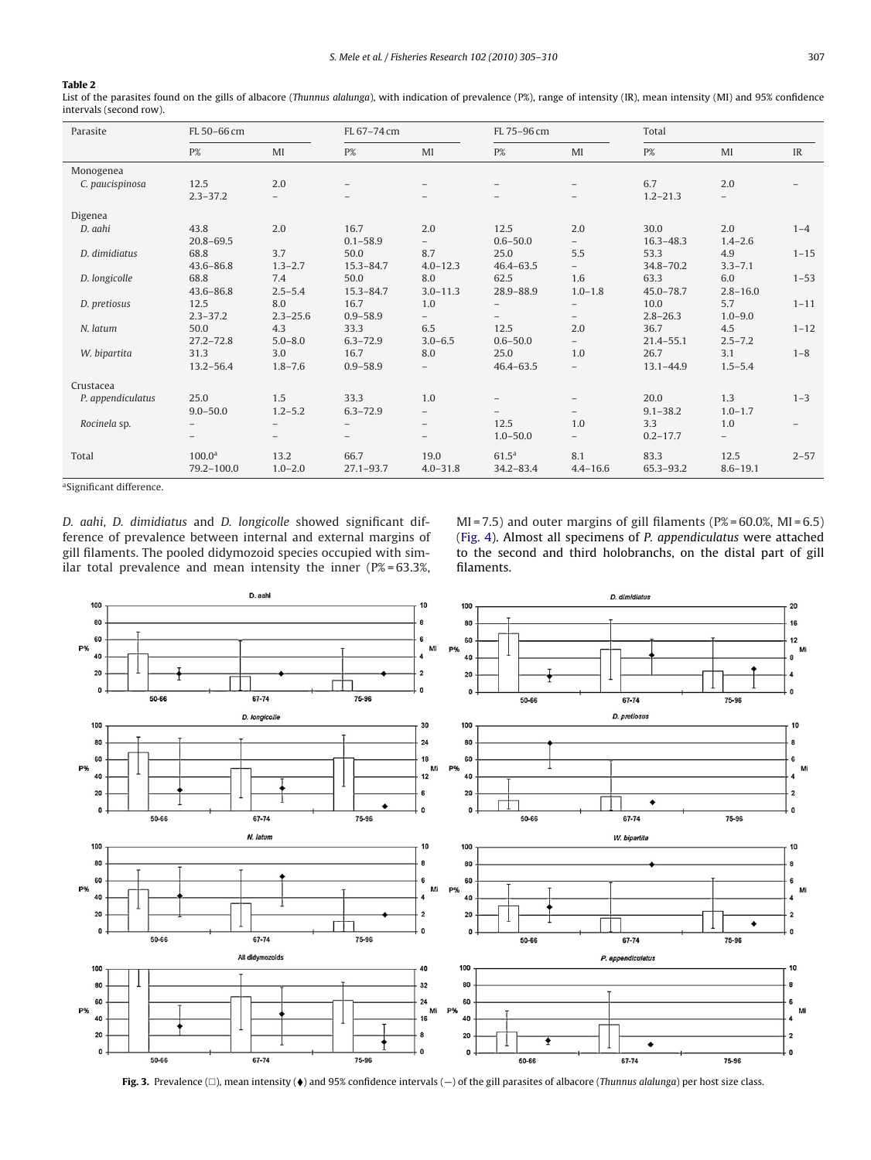# <span id="page-2-0"></span>**Table 2**

List of the parasites found on the gills of albacore (Thunnus alalunga), with indication of prevalence (P%), range of intensity (IR), mean intensity (MI) and 95% confidence intervals (second row).

| Parasite          | FL 50-66 cm        |                          | FL 67-74 cm              |                          | FL 75-96 cm              |                          | Total         |                          |                   |
|-------------------|--------------------|--------------------------|--------------------------|--------------------------|--------------------------|--------------------------|---------------|--------------------------|-------------------|
|                   | P%                 | MI                       | P%                       | MI                       | $P\%$                    | MI                       | $P\%$         | MI                       | IR                |
| Monogenea         |                    |                          |                          |                          |                          |                          |               |                          |                   |
| C. paucispinosa   | 12.5               | 2.0                      | $\overline{\phantom{a}}$ | $-$                      | $\overline{\phantom{0}}$ | $\overline{\phantom{m}}$ | 6.7           | 2.0                      | $\qquad \qquad -$ |
|                   | $2.3 - 37.2$       |                          |                          | $-$                      | $\overline{\phantom{0}}$ | $\overline{\phantom{a}}$ | $1,2-21,3$    | $\overline{\phantom{0}}$ |                   |
| Digenea           |                    |                          |                          |                          |                          |                          |               |                          |                   |
| D. aahi           | 43.8               | 2.0                      | 16.7                     | 2.0                      | 12.5                     | 2.0                      | 30.0          | 2.0                      | $1 - 4$           |
|                   | $20.8 - 69.5$      |                          | $0.1 - 58.9$             | $\overline{\phantom{0}}$ | $0.6 - 50.0$             | $-$                      | $16.3 - 48.3$ | $1.4 - 2.6$              |                   |
| D. dimidiatus     | 68.8               | 3.7                      | 50.0                     | 8.7                      | 25.0                     | 5.5                      | 53.3          | 4.9                      | $1 - 15$          |
|                   | $43.6 - 86.8$      | $1.3 - 2.7$              | $15.3 - 84.7$            | $4.0 - 12.3$             | $46.4 - 63.5$            | $\overline{\phantom{0}}$ | 34.8-70.2     | $3.3 - 7.1$              |                   |
| D. longicolle     | 68.8               | 7.4                      | 50.0                     | 8.0                      | 62.5                     | 1.6                      | 63.3          | 6.0                      | $1 - 53$          |
|                   | $43.6 - 86.8$      | $2.5 - 5.4$              | $15.3 - 84.7$            | $3.0 - 11.3$             | $28.9 - 88.9$            | $1.0 - 1.8$              | $45.0 - 78.7$ | $2.8 - 16.0$             |                   |
| D. pretiosus      | 12.5               | 8.0                      | 16.7                     | 1.0                      | $\overline{\phantom{0}}$ | $\qquad \qquad -$        | 10.0          | 5.7                      | $1 - 11$          |
|                   | $2.3 - 37.2$       | $2.3 - 25.6$             | $0.9 - 58.9$             | $\overline{\phantom{0}}$ |                          | $\qquad \qquad -$        | $2.8 - 26.3$  | $1.0 - 9.0$              |                   |
| N. latum          | 50.0               | 4.3                      | 33.3                     | 6.5                      | 12.5                     | 2.0                      | 36.7          | 4.5                      | $1 - 12$          |
|                   | $27.2 - 72.8$      | $5.0 - 8.0$              | $6.3 - 72.9$             | $3.0 - 6.5$              | $0.6 - 50.0$             | $-$                      | $21.4 - 55.1$ | $2.5 - 7.2$              |                   |
| W. bipartita      | 31.3               | 3.0                      | 16.7                     | 8.0                      | 25.0                     | 1.0                      | 26.7          | 3.1                      | $1 - 8$           |
|                   | $13.2 - 56.4$      | $1.8 - 7.6$              | $0.9 - 58.9$             |                          | $46.4 - 63.5$            | $\qquad \qquad -$        | $13.1 - 44.9$ | $1.5 - 5.4$              |                   |
| Crustacea         |                    |                          |                          |                          |                          |                          |               |                          |                   |
| P. appendiculatus | 25.0               | 1.5                      | 33.3                     | 1.0                      | $\overline{\phantom{0}}$ | $\overline{\phantom{a}}$ | 20.0          | 1.3                      | $1 - 3$           |
|                   | $9.0 - 50.0$       | $1.2 - 5.2$              | $6.3 - 72.9$             | $\overline{\phantom{a}}$ | $\qquad \qquad -$        | $\overline{\phantom{a}}$ | $9.1 - 38.2$  | $1.0 - 1.7$              |                   |
| Rocinela sp.      |                    | $\overline{\phantom{m}}$ | $\overline{\phantom{0}}$ | $-$                      | 12.5                     | 1.0                      | 3.3           | 1.0                      | $\qquad \qquad -$ |
|                   |                    | $\qquad \qquad -$        | $-$                      | $\qquad \qquad -$        | $1.0 - 50.0$             | $\overline{\phantom{a}}$ | $0.2 - 17.7$  | $\overline{\phantom{0}}$ |                   |
| Total             | 100.0 <sup>a</sup> | 13.2                     | 66.7                     | 19.0                     | 61.5 <sup>a</sup>        | 8.1                      | 83.3          | 12.5                     | $2 - 57$          |
|                   | $79.2 - 100.0$     | $1.0 - 2.0$              | $27.1 - 93.7$            | $4.0 - 31.8$             | $34.2 - 83.4$            | $4.4 - 16.6$             | 65.3-93.2     | $8.6 - 19.1$             |                   |

aSignificant difference.

D. aahi, D. dimidiatus and D. longicolle showed significant difference of prevalence between internal and external margins of gill filaments. The pooled didymozoid species occupied with similar total prevalence and mean intensity the inner (P% = 63.3%,

 $MI = 7.5$ ) and outer margins of gill filaments ( $P\% = 60.0\%$ ,  $MI = 6.5$ ) [\(Fig. 4\).](#page-3-0) Almost all specimens of P. appendiculatus were attached to the second and third holobranchs, on the distal part of gill filaments.



**Fig. 3.** Prevalence ( $\Box$ ), mean intensity ( $\blacklozenge$  and 95% confidence intervals (—) of the gill parasites of albacore (Thunnus alalunga) per host size class.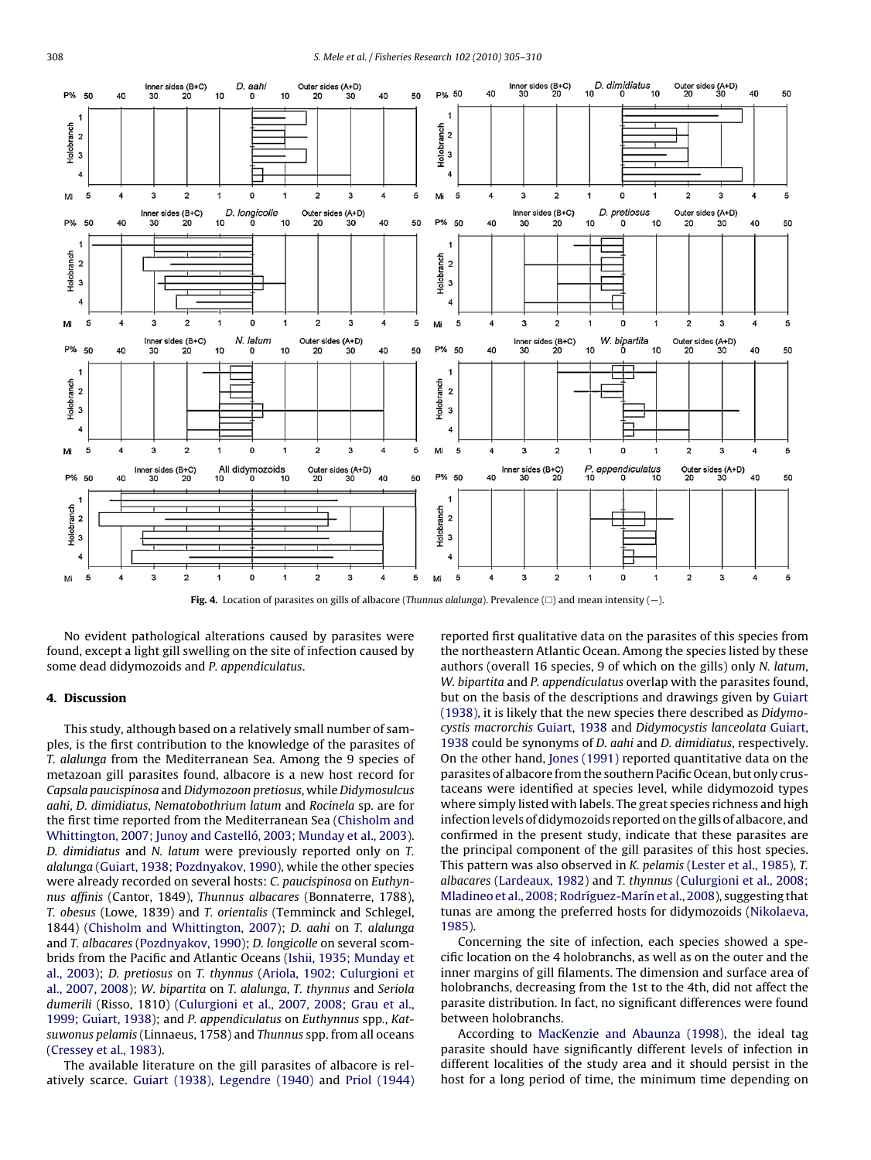<span id="page-3-0"></span>

**Fig. 4.** Location of parasites on gills of albacore (*Thunnus alalunga*). Prevalence ( $\Box$ ) and mean intensity ( $-$ ).

No evident pathological alterations caused by parasites were found, except a light gill swelling on the site of infection caused by some dead didymozoids and P. appendiculatus.

# **4. Discussion**

This study, although based on a relatively small number of samples, is the first contribution to the knowledge of the parasites of T. alalunga from the Mediterranean Sea. Among the 9 species of metazoan gill parasites found, albacore is a new host record for Capsala paucispinosa and Didymozoon pretiosus, while Didymosulcus aahi, D. dimidiatus, Nematobothrium latum and Rocinela sp. are for the first time reported from the Mediterranean Sea [\(Chisholm and](#page-5-0) [Whittington, 2007; Junoy and Castelló, 2003; Munday et al., 2003\).](#page-5-0) D. dimidiatus and N. latum were previously reported only on T. alalunga [\(Guiart, 1938; Pozdnyakov, 1990\),](#page-5-0) while the other species were already recorded on several hosts: C. paucispinosa on Euthynnus affinis (Cantor, 1849), Thunnus albacares (Bonnaterre, 1788), T. obesus (Lowe, 1839) and T. orientalis (Temminck and Schlegel, 1844) ([Chisholm and Whittington, 2007\);](#page-5-0) D. aahi on T. alalunga and T. albacares ([Pozdnyakov, 1990\);](#page-5-0) D. longicolle on several scombrids from the Pacific and Atlantic Oceans [\(Ishii, 1935; Munday et](#page-5-0) [al., 2003\);](#page-5-0) D. pretiosus on T. thynnus ([Ariola, 1902; Culurgioni et](#page-4-0) [al., 2007, 2008\);](#page-4-0) W. bipartita on T. alalunga, T. thynnus and Seriola dumerili (Risso, 1810) ([Culurgioni et al., 2007, 2008; Grau et al.,](#page-5-0) [1999; Guiart, 1938\);](#page-5-0) and P. appendiculatus on Euthynnus spp., Katsuwonus pelamis (Linnaeus, 1758) and Thunnus spp. from all oceans ([Cressey et al., 1983\).](#page-5-0)

The available literature on the gill parasites of albacore is relatively scarce. [Guiart \(1938\),](#page-5-0) [Legendre \(1940\)](#page-5-0) and [Priol \(1944\)](#page-5-0) reported first qualitative data on the parasites of this species from the northeastern Atlantic Ocean. Among the species listed by these authors (overall 16 species, 9 of which on the gills) only N. latum, W. bipartita and P. appendiculatus overlap with the parasites found, but on the basis of the descriptions and drawings given by [Guiart](#page-5-0) [\(1938\), i](#page-5-0)t is likely that the new species there described as Didymocystis macrorchis [Guiart, 1938](#page-5-0) and Didymocystis lanceolata [Guiart,](#page-5-0) [1938](#page-5-0) could be synonyms of D. aahi and D. dimidiatus, respectively. On the other hand, [Jones \(1991\)](#page-5-0) reported quantitative data on the parasites of albacore from the southern Pacific Ocean, but only crustaceans were identified at species level, while didymozoid types where simply listed with labels. The great species richness and high infection levels of didymozoids reported on the gills of albacore, and confirmed in the present study, indicate that these parasites are the principal component of the gill parasites of this host species. This pattern was also observed in K. pelamis [\(Lester et al., 1985\),](#page-5-0) T. albacares [\(Lardeaux, 1982\)](#page-5-0) and T. thynnus ([Culurgioni et al., 2008;](#page-5-0) [Mladineo et al., 2008; Rodríguez-Marín et al., 2008\),](#page-5-0) suggesting that tunas are among the preferred hosts for didymozoids [\(Nikolaeva,](#page-5-0) [1985\).](#page-5-0)

Concerning the site of infection, each species showed a specific location on the 4 holobranchs, as well as on the outer and the inner margins of gill filaments. The dimension and surface area of holobranchs, decreasing from the 1st to the 4th, did not affect the parasite distribution. In fact, no significant differences were found between holobranchs.

According to [MacKenzie and Abaunza \(1998\),](#page-5-0) the ideal tag parasite should have significantly different levels of infection in different localities of the study area and it should persist in the host for a long period of time, the minimum time depending on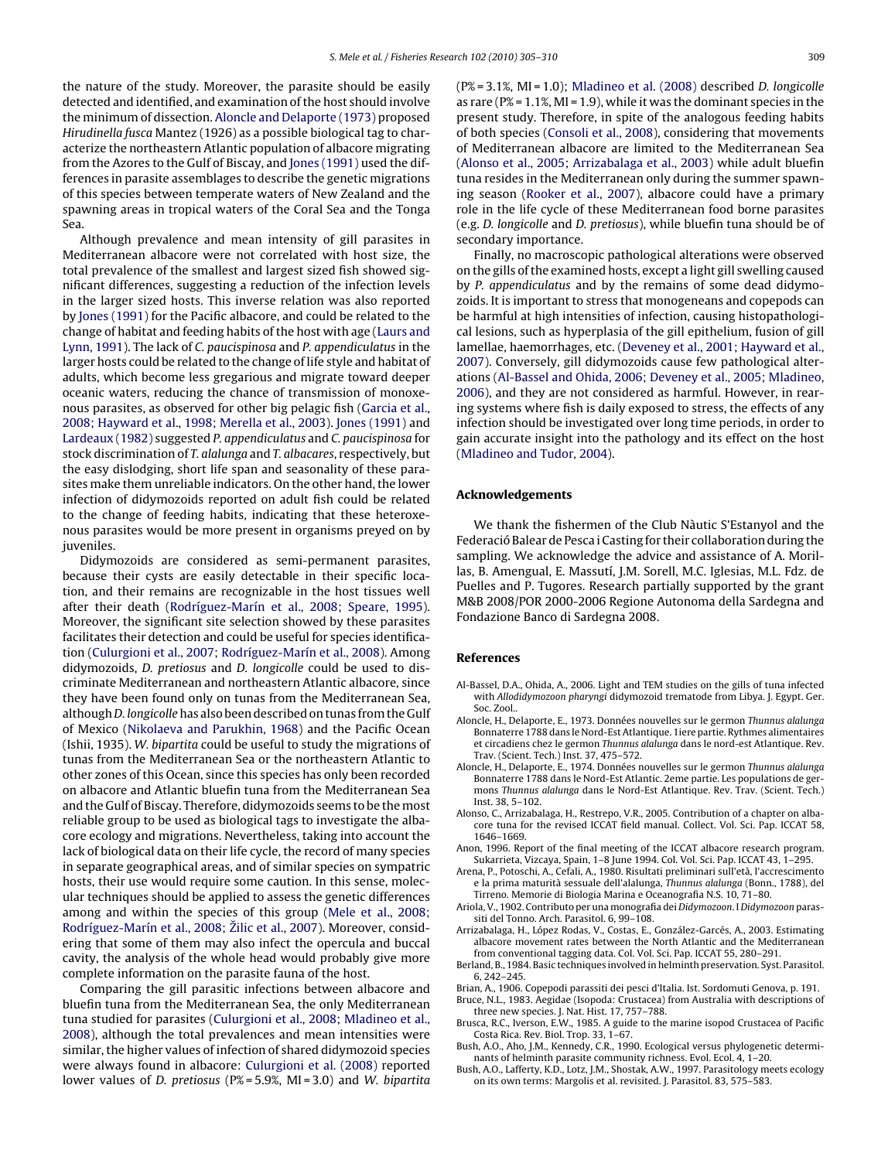<span id="page-4-0"></span>the nature of the study. Moreover, the parasite should be easily detected and identified, and examination of the host should involve the minimum of dissection. Aloncle and Delaporte (1973) proposed Hirudinella fusca Mantez (1926) as a possible biological tag to characterize the northeastern Atlantic population of albacore migrating from the Azores to the Gulf of Biscay, and [Jones \(1991\)](#page-5-0) used the differences in parasite assemblages to describe the genetic migrations of this species between temperate waters of New Zealand and the spawning areas in tropical waters of the Coral Sea and the Tonga Sea.

Although prevalence and mean intensity of gill parasites in Mediterranean albacore were not correlated with host size, the total prevalence of the smallest and largest sized fish showed significant differences, suggesting a reduction of the infection levels in the larger sized hosts. This inverse relation was also reported by [Jones \(1991\)](#page-5-0) for the Pacific albacore, and could be related to the change of habitat and feeding habits of the host with age ([Laurs and](#page-5-0) [Lynn, 1991\).](#page-5-0) The lack of C. paucispinosa and P. appendiculatus in the larger hosts could be related to the change of life style and habitat of adults, which become less gregarious and migrate toward deeper oceanic waters, reducing the chance of transmission of monoxenous parasites, as observed for other big pelagic fish [\(Garcia et al.,](#page-5-0) [2008; Hayward et al., 1998; Merella et al., 2003\).](#page-5-0) [Jones \(1991\)](#page-5-0) and [Lardeaux \(1982\)](#page-5-0) suggested P. appendiculatus and C. paucispinosa for stock discrimination of T. alalunga and T. albacares, respectively, but the easy dislodging, short life span and seasonality of these parasites make them unreliable indicators. On the other hand, the lower infection of didymozoids reported on adult fish could be related to the change of feeding habits, indicating that these heteroxenous parasites would be more present in organisms preyed on by juveniles.

Didymozoids are considered as semi-permanent parasites, because their cysts are easily detectable in their specific location, and their remains are recognizable in the host tissues well after their death [\(Rodríguez-Marín et al., 2008; Speare, 1995\).](#page-5-0) Moreover, the significant site selection showed by these parasites facilitates their detection and could be useful for species identification [\(Culurgioni et al., 2007; Rodríguez-Marín et al., 2008\).](#page-5-0) Among didymozoids, D. pretiosus and D. longicolle could be used to discriminate Mediterranean and northeastern Atlantic albacore, since they have been found only on tunas from the Mediterranean Sea, although D. longicolle has also been described on tunas from the Gulf of Mexico [\(Nikolaeva and Parukhin, 1968\)](#page-5-0) and the Pacific Ocean (Ishii, 1935). W. bipartita could be useful to study the migrations of tunas from the Mediterranean Sea or the northeastern Atlantic to other zones of this Ocean, since this species has only been recorded on albacore and Atlantic bluefin tuna from the Mediterranean Sea and the Gulf of Biscay. Therefore, didymozoids seems to be the most reliable group to be used as biological tags to investigate the albacore ecology and migrations. Nevertheless, taking into account the lack of biological data on their life cycle, the record of many species in separate geographical areas, and of similar species on sympatric hosts, their use would require some caution. In this sense, molecular techniques should be applied to assess the genetic differences among and within the species of this group [\(Mele et al., 2008;](#page-5-0) [Rodríguez-Marín et al., 2008;](#page-5-0) Žilic et al., 2007). Moreover, considering that some of them may also infect the opercula and buccal cavity, the analysis of the whole head would probably give more complete information on the parasite fauna of the host.

Comparing the gill parasitic infections between albacore and bluefin tuna from the Mediterranean Sea, the only Mediterranean tuna studied for parasites [\(Culurgioni et al., 2008; Mladineo et al.,](#page-5-0) [2008\),](#page-5-0) although the total prevalences and mean intensities were similar, the higher values of infection of shared didymozoid species were always found in albacore: [Culurgioni et al. \(2008\)](#page-5-0) reported lower values of D. pretiosus (P% = 5.9%, MI = 3.0) and W. bipartita (P% = 3.1%, MI = 1.0); [Mladineo et al. \(2008\)](#page-5-0) described D. longicolle as rare (P% = 1.1%, MI = 1.9), while it was the dominant species in the present study. Therefore, in spite of the analogous feeding habits of both species ([Consoli et al., 2008\),](#page-5-0) considering that movements of Mediterranean albacore are limited to the Mediterranean Sea (Alonso et al., 2005; Arrizabalaga et al., 2003) while adult bluefin tuna resides in the Mediterranean only during the summer spawning season [\(Rooker et al., 2007\),](#page-5-0) albacore could have a primary role in the life cycle of these Mediterranean food borne parasites (e.g. D. longicolle and D. pretiosus), while bluefin tuna should be of secondary importance.

Finally, no macroscopic pathological alterations were observed on the gills of the examined hosts, except a light gill swelling caused by P. appendiculatus and by the remains of some dead didymozoids. It is important to stress that monogeneans and copepods can be harmful at high intensities of infection, causing histopathological lesions, such as hyperplasia of the gill epithelium, fusion of gill lamellae, haemorrhages, etc. ([Deveney et al., 2001; Hayward et al.,](#page-5-0) [2007\).](#page-5-0) Conversely, gill didymozoids cause few pathological alterations (Al-Bassel and Ohida, 2006; Deveney et al., 2005; Mladineo, 2006), and they are not considered as harmful. However, in rearing systems where fish is daily exposed to stress, the effects of any infection should be investigated over long time periods, in order to gain accurate insight into the pathology and its effect on the host [\(Mladineo and Tudor, 2004\).](#page-5-0)

## **Acknowledgements**

We thank the fishermen of the Club Nàutic S'Estanyol and the Federació Balear de Pesca i Casting for their collaboration during the sampling. We acknowledge the advice and assistance of A. Morillas, B. Amengual, E. Massutí, J.M. Sorell, M.C. Iglesias, M.L. Fdz. de Puelles and P. Tugores. Research partially supported by the grant M&B 2008/POR 2000-2006 Regione Autonoma della Sardegna and Fondazione Banco di Sardegna 2008.

# **References**

- Al-Bassel, D.A., Ohida, A., 2006. Light and TEM studies on the gills of tuna infected with Allodidymozoon pharyngi didymozoid trematode from Libya. J. Egypt. Ger. Soc. Zool..
- Aloncle, H., Delaporte, E., 1973. Données nouvelles sur le germon Thunnus alalunga Bonnaterre 1788 dans le Nord-Est Atlantique. 1iere partie. Rythmes alimentaires et circadiens chez le germon Thunnus alalunga dans le nord-est Atlantique. Rev. Trav. (Scient. Tech.) Inst. 37, 475–572.
- Aloncle, H., Delaporte, E., 1974. Données nouvelles sur le germon Thunnus alalunga Bonnaterre 1788 dans le Nord-Est Atlantic. 2eme partie. Les populations de germons Thunnus alalunga dans le Nord-Est Atlantique. Rev. Trav. (Scient. Tech.) Inst. 38, 5–102.
- Alonso, C., Arrizabalaga, H., Restrepo, V.R., 2005. Contribution of a chapter on albacore tuna for the revised ICCAT field manual. Collect. Vol. Sci. Pap. ICCAT 58, 1646–1669.
- Anon, 1996. Report of the final meeting of the ICCAT albacore research program. Sukarrieta, Vizcaya, Spain, 1–8 June 1994. Col. Vol. Sci. Pap. ICCAT 43, 1–295.
- Arena, P., Potoschi, A., Cefali, A., 1980. Risultati preliminari sull'età, l'accrescimento e la prima maturità sessuale dell'alalunga, Thunnus alalunga (Bonn., 1788), del Tirreno. Memorie di Biologia Marina e Oceanografia N.S. 10, 71–80.
- Ariola, V., 1902. Contributo per una monografia dei Didymozoon. I Didymozoon parassiti del Tonno. Arch. Parasitol. 6, 99–108.
- Arrizabalaga, H., López Rodas, V., Costas, E., González-Garcés, A., 2003. Estimating albacore movement rates between the North Atlantic and the Mediterranean from conventional tagging data. Col. Vol. Sci. Pap. ICCAT 55, 280–291.
- Berland, B., 1984. Basic techniques involved in helminth preservation. Syst. Parasitol. 6, 242–245.
- Brian, A., 1906. Copepodi parassiti dei pesci d'Italia. Ist. Sordomuti Genova, p. 191. Bruce, N.L., 1983. Aegidae (Isopoda: Crustacea) from Australia with descriptions of three new species. J. Nat. Hist. 17, 757–788.
- Brusca, R.C., Iverson, E.W., 1985. A guide to the marine isopod Crustacea of Pacific Costa Rica. Rev. Biol. Trop. 33, 1–67.
- Bush, A.O., Aho, J.M., Kennedy, C.R., 1990. Ecological versus phylogenetic determinants of helminth parasite community richness. Evol. Ecol. 4, 1–20.
- Bush, A.O., Lafferty, K.D., Lotz, J.M., Shostak, A.W., 1997. Parasitology meets ecology on its own terms: Margolis et al. revisited. J. Parasitol. 83, 575–583.